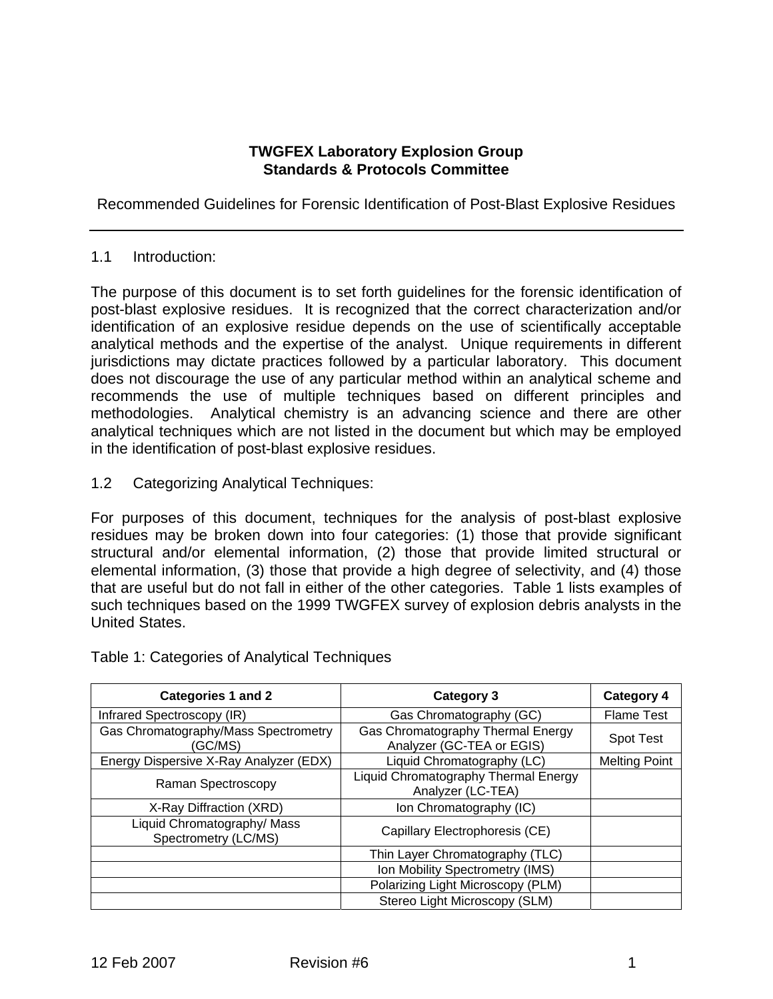## **TWGFEX Laboratory Explosion Group Standards & Protocols Committee**

Recommended Guidelines for Forensic Identification of Post-Blast Explosive Residues

## 1.1 Introduction:

The purpose of this document is to set forth guidelines for the forensic identification of post-blast explosive residues. It is recognized that the correct characterization and/or identification of an explosive residue depends on the use of scientifically acceptable analytical methods and the expertise of the analyst. Unique requirements in different jurisdictions may dictate practices followed by a particular laboratory. This document does not discourage the use of any particular method within an analytical scheme and recommends the use of multiple techniques based on different principles and methodologies. Analytical chemistry is an advancing science and there are other analytical techniques which are not listed in the document but which may be employed in the identification of post-blast explosive residues.

1.2 Categorizing Analytical Techniques:

For purposes of this document, techniques for the analysis of post-blast explosive residues may be broken down into four categories: (1) those that provide significant structural and/or elemental information, (2) those that provide limited structural or elemental information, (3) those that provide a high degree of selectivity, and (4) those that are useful but do not fall in either of the other categories. Table 1 lists examples of such techniques based on the 1999 TWGFEX survey of explosion debris analysts in the United States.

| <b>Categories 1 and 2</b>                           | <b>Category 3</b>                                              | <b>Category 4</b>    |
|-----------------------------------------------------|----------------------------------------------------------------|----------------------|
| Infrared Spectroscopy (IR)                          | Gas Chromatography (GC)                                        | <b>Flame Test</b>    |
| Gas Chromatography/Mass Spectrometry<br>(GC/MS)     | Gas Chromatography Thermal Energy<br>Analyzer (GC-TEA or EGIS) | <b>Spot Test</b>     |
| Energy Dispersive X-Ray Analyzer (EDX)              | Liquid Chromatography (LC)                                     | <b>Melting Point</b> |
| Raman Spectroscopy                                  | Liquid Chromatography Thermal Energy<br>Analyzer (LC-TEA)      |                      |
| X-Ray Diffraction (XRD)                             | Ion Chromatography (IC)                                        |                      |
| Liquid Chromatography/ Mass<br>Spectrometry (LC/MS) | Capillary Electrophoresis (CE)                                 |                      |
|                                                     | Thin Layer Chromatography (TLC)                                |                      |
|                                                     | Ion Mobility Spectrometry (IMS)                                |                      |
|                                                     | Polarizing Light Microscopy (PLM)                              |                      |
|                                                     | Stereo Light Microscopy (SLM)                                  |                      |

Table 1: Categories of Analytical Techniques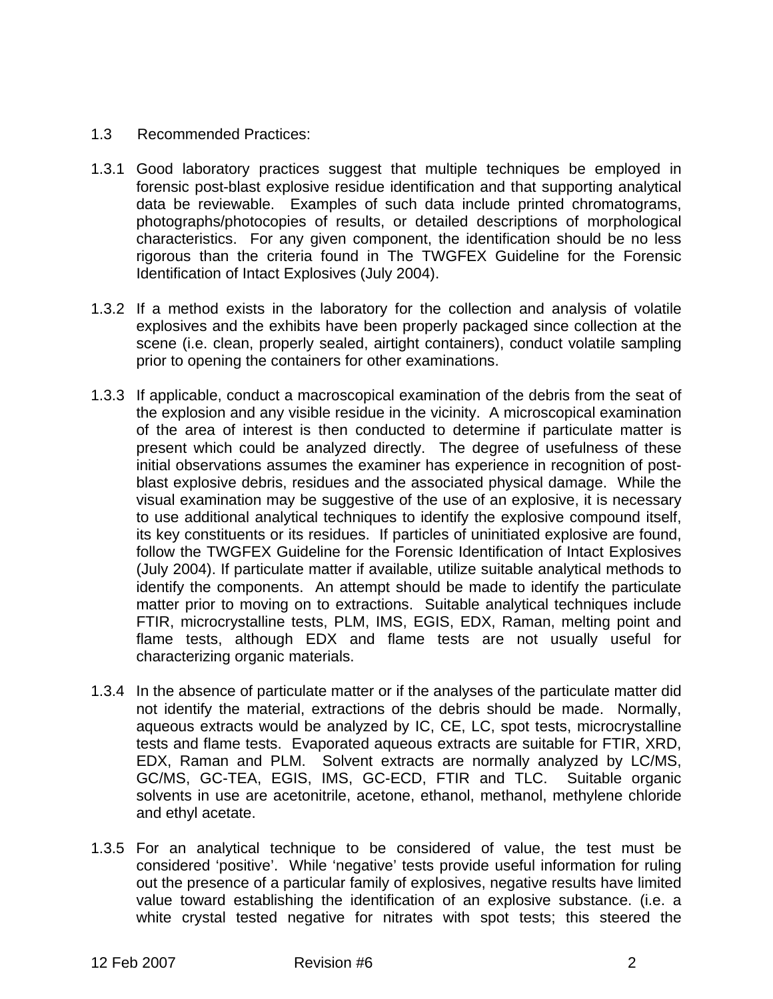## 1.3 Recommended Practices:

- 1.3.1 Good laboratory practices suggest that multiple techniques be employed in forensic post-blast explosive residue identification and that supporting analytical data be reviewable. Examples of such data include printed chromatograms, photographs/photocopies of results, or detailed descriptions of morphological characteristics. For any given component, the identification should be no less rigorous than the criteria found in The TWGFEX Guideline for the Forensic Identification of Intact Explosives (July 2004).
- 1.3.2 If a method exists in the laboratory for the collection and analysis of volatile explosives and the exhibits have been properly packaged since collection at the scene (i.e. clean, properly sealed, airtight containers), conduct volatile sampling prior to opening the containers for other examinations.
- 1.3.3 If applicable, conduct a macroscopical examination of the debris from the seat of the explosion and any visible residue in the vicinity. A microscopical examination of the area of interest is then conducted to determine if particulate matter is present which could be analyzed directly. The degree of usefulness of these initial observations assumes the examiner has experience in recognition of postblast explosive debris, residues and the associated physical damage. While the visual examination may be suggestive of the use of an explosive, it is necessary to use additional analytical techniques to identify the explosive compound itself, its key constituents or its residues. If particles of uninitiated explosive are found, follow the TWGFEX Guideline for the Forensic Identification of Intact Explosives (July 2004). If particulate matter if available, utilize suitable analytical methods to identify the components. An attempt should be made to identify the particulate matter prior to moving on to extractions. Suitable analytical techniques include FTIR, microcrystalline tests, PLM, IMS, EGIS, EDX, Raman, melting point and flame tests, although EDX and flame tests are not usually useful for characterizing organic materials.
- 1.3.4 In the absence of particulate matter or if the analyses of the particulate matter did not identify the material, extractions of the debris should be made. Normally, aqueous extracts would be analyzed by IC, CE, LC, spot tests, microcrystalline tests and flame tests. Evaporated aqueous extracts are suitable for FTIR, XRD, EDX, Raman and PLM. Solvent extracts are normally analyzed by LC/MS, GC/MS, GC-TEA, EGIS, IMS, GC-ECD, FTIR and TLC. Suitable organic solvents in use are acetonitrile, acetone, ethanol, methanol, methylene chloride and ethyl acetate.
- 1.3.5 For an analytical technique to be considered of value, the test must be considered 'positive'. While 'negative' tests provide useful information for ruling out the presence of a particular family of explosives, negative results have limited value toward establishing the identification of an explosive substance. (i.e. a white crystal tested negative for nitrates with spot tests; this steered the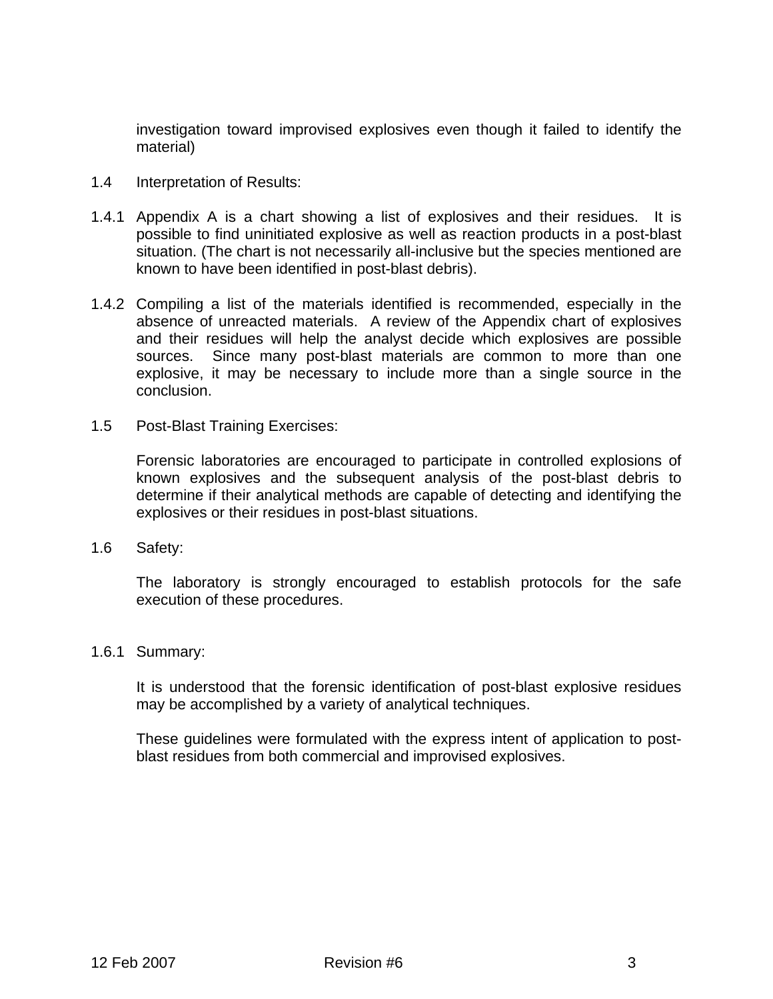investigation toward improvised explosives even though it failed to identify the material)

- 1.4 Interpretation of Results:
- 1.4.1 Appendix A is a chart showing a list of explosives and their residues. It is possible to find uninitiated explosive as well as reaction products in a post-blast situation. (The chart is not necessarily all-inclusive but the species mentioned are known to have been identified in post-blast debris).
- 1.4.2 Compiling a list of the materials identified is recommended, especially in the absence of unreacted materials. A review of the Appendix chart of explosives and their residues will help the analyst decide which explosives are possible sources. Since many post-blast materials are common to more than one explosive, it may be necessary to include more than a single source in the conclusion.
- 1.5 Post-Blast Training Exercises:

 Forensic laboratories are encouraged to participate in controlled explosions of known explosives and the subsequent analysis of the post-blast debris to determine if their analytical methods are capable of detecting and identifying the explosives or their residues in post-blast situations.

1.6 Safety:

 The laboratory is strongly encouraged to establish protocols for the safe execution of these procedures.

1.6.1 Summary:

 It is understood that the forensic identification of post-blast explosive residues may be accomplished by a variety of analytical techniques.

 These guidelines were formulated with the express intent of application to postblast residues from both commercial and improvised explosives.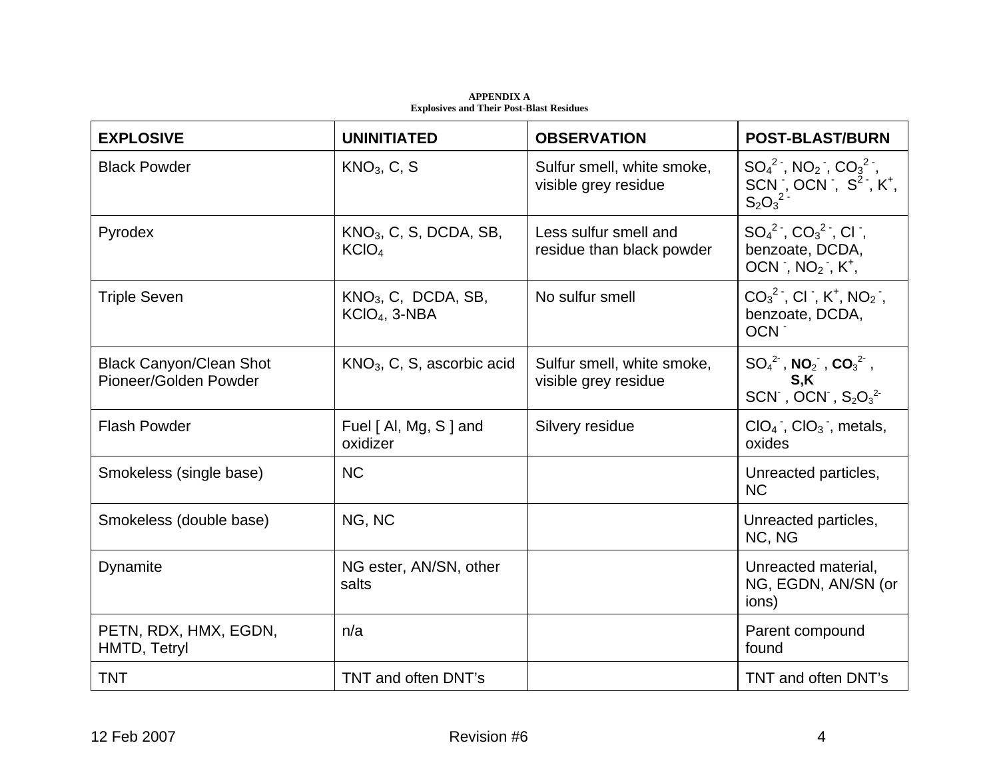| <b>EXPLOSIVE</b>                                        | <b>UNINITIATED</b>                            | <b>OBSERVATION</b>                                 | <b>POST-BLAST/BURN</b>                                                                         |
|---------------------------------------------------------|-----------------------------------------------|----------------------------------------------------|------------------------------------------------------------------------------------------------|
| <b>Black Powder</b>                                     | KNO <sub>3</sub> , C, S                       | Sulfur smell, white smoke,<br>visible grey residue | $SO_4{}^2$ , NO <sub>2</sub> , $CO_3{}^2$ ,<br>SCN, OCN, $S^2$ , $K^+$ ,<br>$S_2O_3^2$         |
| Pyrodex                                                 | $KNO3$ , C, S, DCDA, SB,<br>KCIO <sub>4</sub> | Less sulfur smell and<br>residue than black powder | $SO_4{}^2$ , $CO_3{}^2$ , Cl,<br>benzoate, DCDA,<br>OCN, $NO2$ , $K+$ ,                        |
| <b>Triple Seven</b>                                     | $KNO3$ , C, DCDA, SB,<br>$KClO4$ , 3-NBA      | No sulfur smell                                    | $CO_3^2$ , CI, K <sup>+</sup> , NO <sub>2</sub> ,<br>benzoate, DCDA,<br>OCN -                  |
| <b>Black Canyon/Clean Shot</b><br>Pioneer/Golden Powder | $KNO3$ , C, S, ascorbic acid                  | Sulfur smell, white smoke,<br>visible grey residue | $SO_4{}^2$ , NO <sub>2</sub> , CO <sub>3</sub> <sup>2</sup> ,<br>S,K<br>SCN , OCN , $S_2O_3^2$ |
| <b>Flash Powder</b>                                     | Fuel [ Al, Mg, S ] and<br>oxidizer            | Silvery residue                                    | $ClO4$ , $ClO3$ , metals,<br>oxides                                                            |
| Smokeless (single base)                                 | <b>NC</b>                                     |                                                    | Unreacted particles,<br><b>NC</b>                                                              |
| Smokeless (double base)                                 | NG, NC                                        |                                                    | Unreacted particles,<br>NC, NG                                                                 |
| Dynamite                                                | NG ester, AN/SN, other<br>salts               |                                                    | Unreacted material,<br>NG, EGDN, AN/SN (or<br>ions)                                            |
| PETN, RDX, HMX, EGDN,<br>HMTD, Tetryl                   | n/a                                           |                                                    | Parent compound<br>found                                                                       |
| <b>TNT</b>                                              | TNT and often DNT's                           |                                                    | TNT and often DNT's                                                                            |

**APPENDIX A Explosives and Their Post-Blast Residues**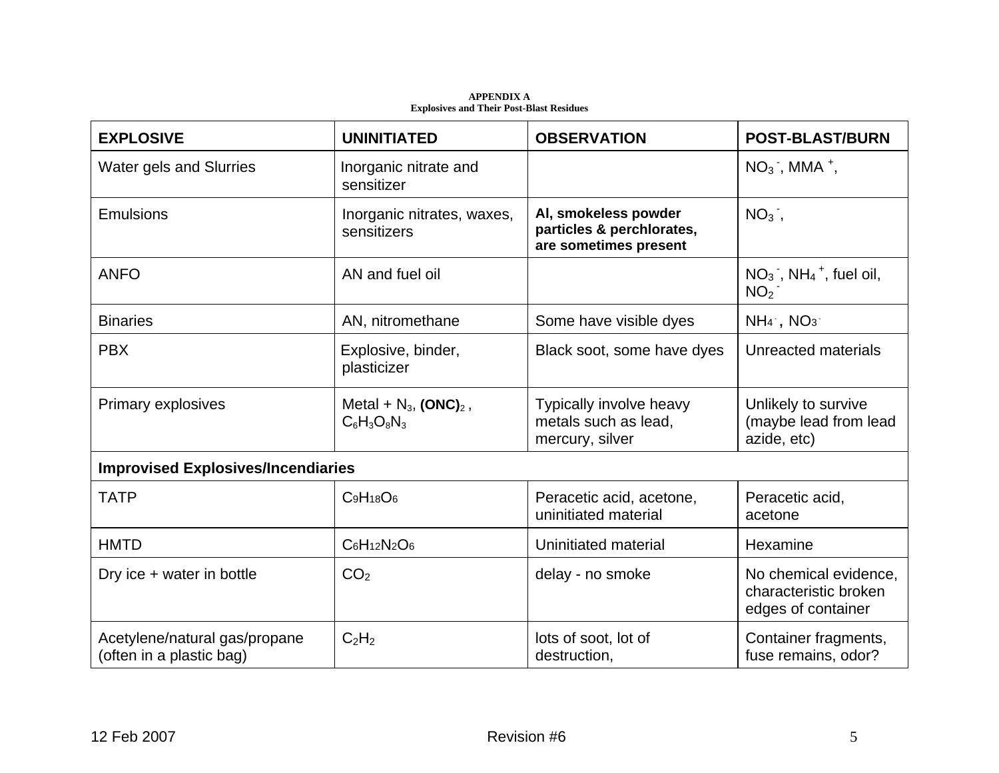**APPENDIX A Explosives and Their Post-Blast Residues** 

| <b>EXPLOSIVE</b>                                          | <b>UNINITIATED</b>                                     | <b>OBSERVATION</b>                                                         | <b>POST-BLAST/BURN</b>                                               |
|-----------------------------------------------------------|--------------------------------------------------------|----------------------------------------------------------------------------|----------------------------------------------------------------------|
| <b>Water gels and Slurries</b>                            | Inorganic nitrate and<br>sensitizer                    |                                                                            | $NO3$ , MMA <sup>+</sup> ,                                           |
| Emulsions                                                 | Inorganic nitrates, waxes,<br>sensitizers              | Al, smokeless powder<br>particles & perchlorates,<br>are sometimes present | $NO3$ ,                                                              |
| <b>ANFO</b>                                               | AN and fuel oil                                        |                                                                            | $NO3$ , NH <sub>4</sub> <sup>+</sup> , fuel oil,<br>NO <sub>2</sub>  |
| <b>Binaries</b>                                           | AN, nitromethane                                       | Some have visible dyes                                                     | $NH_4$ , $NO_3$                                                      |
| <b>PBX</b>                                                | Explosive, binder,<br>plasticizer                      | Black soot, some have dyes                                                 | Unreacted materials                                                  |
| <b>Primary explosives</b>                                 | Metal + $N_3$ , (ONC) <sub>2</sub> ,<br>$C_6H_3O_8N_3$ | Typically involve heavy<br>metals such as lead,<br>mercury, silver         | Unlikely to survive<br>(maybe lead from lead<br>azide, etc)          |
| <b>Improvised Explosives/Incendiaries</b>                 |                                                        |                                                                            |                                                                      |
| <b>TATP</b>                                               | $C_9H_{18}O_6$                                         | Peracetic acid, acetone,<br>uninitiated material                           | Peracetic acid,<br>acetone                                           |
| <b>HMTD</b>                                               | $C_6H_{12}N_2O_6$                                      | Uninitiated material                                                       | Hexamine                                                             |
| Dry ice + water in bottle                                 | CO <sub>2</sub>                                        | delay - no smoke                                                           | No chemical evidence,<br>characteristic broken<br>edges of container |
| Acetylene/natural gas/propane<br>(often in a plastic bag) | $C_2H_2$                                               | lots of soot, lot of<br>destruction,                                       | Container fragments,<br>fuse remains, odor?                          |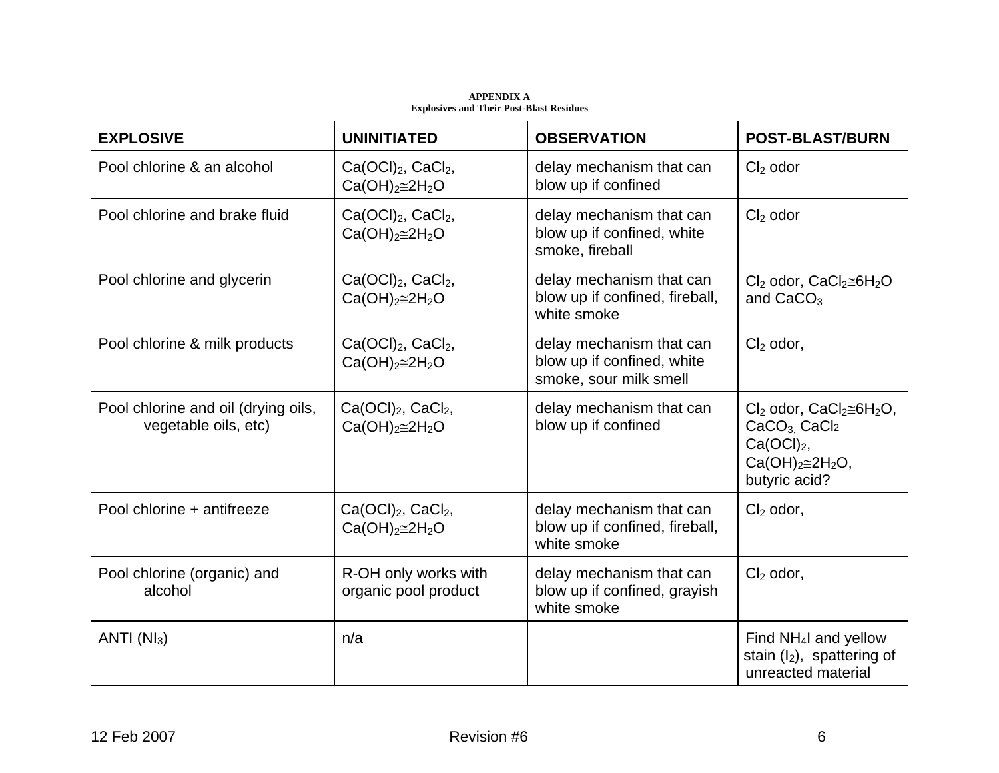| <b>EXPLOSIVE</b>                                            | <b>UNINITIATED</b>                                               | <b>OBSERVATION</b>                                                               | <b>POST-BLAST/BURN</b>                                                                                                                           |
|-------------------------------------------------------------|------------------------------------------------------------------|----------------------------------------------------------------------------------|--------------------------------------------------------------------------------------------------------------------------------------------------|
| Pool chlorine & an alcohol                                  | Ca(OCl <sub>2</sub> , CaCl <sub>2</sub> )<br>$Ca(OH)2\cong 2H2O$ | delay mechanism that can<br>blow up if confined                                  | $Cl2$ odor                                                                                                                                       |
| Pool chlorine and brake fluid                               | $Ca(OCl)2, CaCl2$ ,<br>$Ca(OH)2\cong 2H2O$                       | delay mechanism that can<br>blow up if confined, white<br>smoke, fireball        | $Cl2$ odor                                                                                                                                       |
| Pool chlorine and glycerin                                  | Ca(OCl <sub>2</sub> , CaCl <sub>2</sub> )<br>$Ca(OH)2\cong 2H2O$ | delay mechanism that can<br>blow up if confined, fireball,<br>white smoke        | $Cl2$ odor, CaCl <sub>2</sub> $\cong$ 6H <sub>2</sub> O<br>and $CaCO3$                                                                           |
| Pool chlorine & milk products                               | Ca(OCl <sub>2</sub> , CaCl <sub>2</sub> )<br>$Ca(OH)2\cong 2H2O$ | delay mechanism that can<br>blow up if confined, white<br>smoke, sour milk smell | $Cl2$ odor,                                                                                                                                      |
| Pool chlorine and oil (drying oils,<br>vegetable oils, etc) | Ca(OCl <sub>2</sub> , CaCl <sub>2</sub> )<br>$Ca(OH)2\cong 2H2O$ | delay mechanism that can<br>blow up if confined                                  | $Cl2$ odor, CaCl <sub>2</sub> $\cong$ 6H <sub>2</sub> O,<br>$CaCO3$ , CaCl <sub>2</sub><br>$Ca(OCl)2$ ,<br>$Ca(OH)2\cong 2H2O,$<br>butyric acid? |
| Pool chlorine + antifreeze                                  | $Ca(OCl)2, CaCl2,$<br>$Ca(OH)2\cong 2H2O$                        | delay mechanism that can<br>blow up if confined, fireball,<br>white smoke        | $Cl2$ odor,                                                                                                                                      |
| Pool chlorine (organic) and<br>alcohol                      | R-OH only works with<br>organic pool product                     | delay mechanism that can<br>blow up if confined, grayish<br>white smoke          | $Cl2$ odor,                                                                                                                                      |
| ANTI $(Nl_3)$                                               | n/a                                                              |                                                                                  | Find NH <sub>4</sub> I and yellow<br>stain $(I_2)$ , spattering of<br>unreacted material                                                         |

**APPENDIX A Explosives and Their Post-Blast Residues**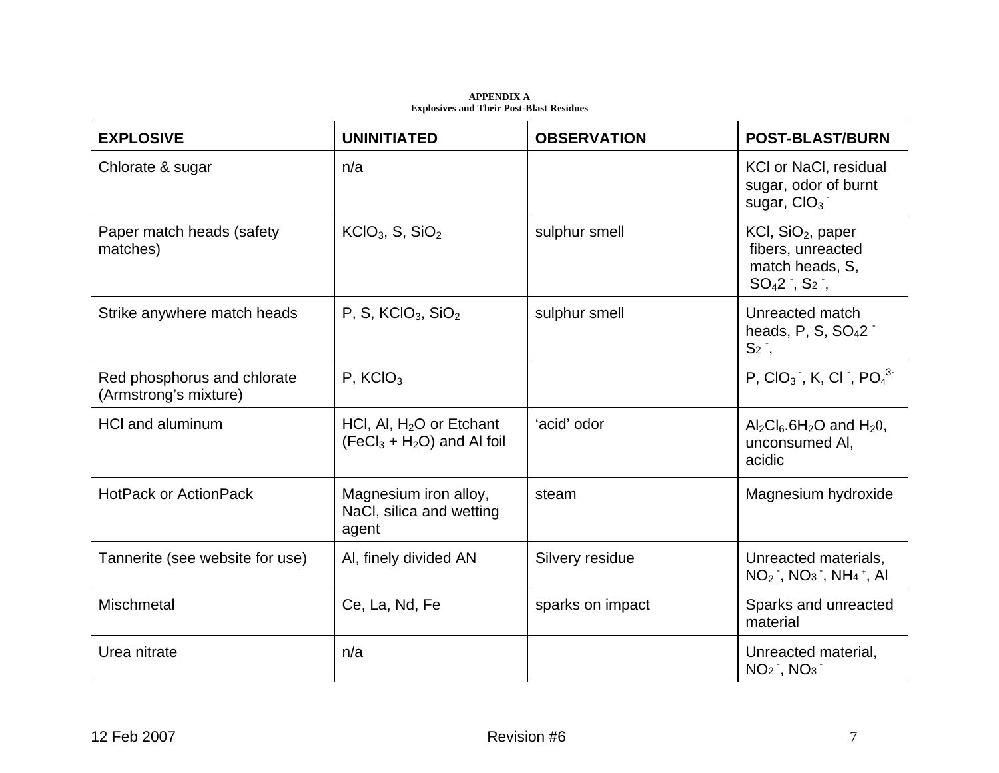| <b>EXPLOSIVE</b>                                     | <b>UNINITIATED</b>                                         | <b>OBSERVATION</b> | <b>POST-BLAST/BURN</b>                                                                        |
|------------------------------------------------------|------------------------------------------------------------|--------------------|-----------------------------------------------------------------------------------------------|
| Chlorate & sugar                                     | n/a                                                        |                    | KCI or NaCl, residual<br>sugar, odor of burnt<br>sugar, $ClO3$                                |
| Paper match heads (safety<br>matches)                | $KClO3$ , S, SiO <sub>2</sub>                              | sulphur smell      | $KCI$ , SiO <sub>2</sub> , paper<br>fibers, unreacted<br>match heads, S,<br>$SO_42$ , $S_2$ , |
| Strike anywhere match heads                          | P, S, $KClO3$ , $SiO2$                                     | sulphur smell      | Unreacted match<br>heads, P, S, $SO42$<br>$S2$ ,                                              |
| Red phosphorus and chlorate<br>(Armstrong's mixture) | $P$ , KCIO <sub>3</sub>                                    |                    | P, $ClO_3$ , K, Cl, $PO_4^3$                                                                  |
| <b>HCI and aluminum</b>                              | HCI, AI, $H2O$ or Etchant<br>$(FeCl3 + H2O)$ and Al foil   | 'acid' odor        | $Al_2Cl_6.6H_2O$ and $H_2O$ ,<br>unconsumed AI,<br>acidic                                     |
| <b>HotPack or ActionPack</b>                         | Magnesium iron alloy,<br>NaCl, silica and wetting<br>agent | steam              | Magnesium hydroxide                                                                           |
| Tannerite (see website for use)                      | Al, finely divided AN                                      | Silvery residue    | Unreacted materials,<br>$NO2$ , $NO3$ , $NH4$ <sup>+</sup> , Al                               |
| <b>Mischmetal</b>                                    | Ce, La, Nd, Fe                                             | sparks on impact   | Sparks and unreacted<br>material                                                              |
| Urea nitrate                                         | n/a                                                        |                    | Unreacted material,<br>$NO2$ , $NO3$                                                          |

**APPENDIX A Explosives and Their Post-Blast Residues**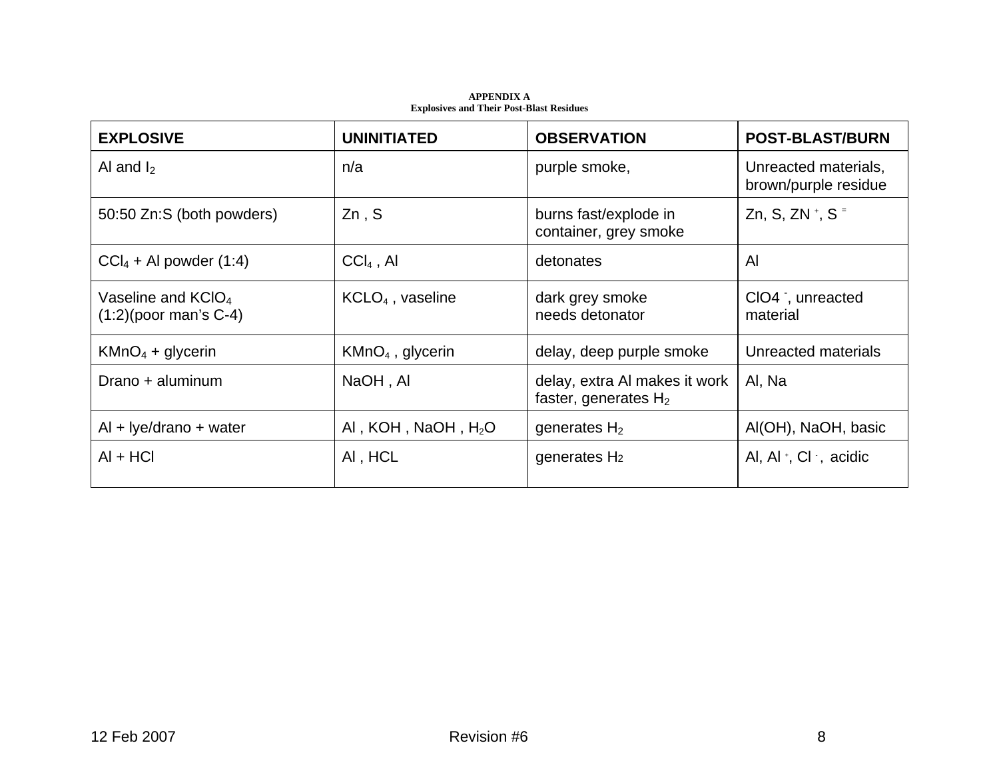| <b>EXPLOSIVE</b>                                           | <b>UNINITIATED</b>    | <b>OBSERVATION</b>                                       | <b>POST-BLAST/BURN</b>                       |
|------------------------------------------------------------|-----------------------|----------------------------------------------------------|----------------------------------------------|
| Al and $I_2$                                               | n/a                   | purple smoke,                                            | Unreacted materials,<br>brown/purple residue |
| 50:50 Zn:S (both powders)                                  | Zn, S                 | burns fast/explode in<br>container, grey smoke           | Zn, S, ZN +, S =                             |
| $CCl4 + Al powder (1:4)$                                   | $CCI4$ , Al           | detonates                                                | $\mathsf{Al}$                                |
| Vaseline and KCIO <sub>4</sub><br>$(1:2)$ (poor man's C-4) | $KCLO4$ , vaseline    | dark grey smoke<br>needs detonator                       | CIO4, unreacted<br>material                  |
| $KMnO4 + glycerin$                                         | $KMnO4$ , glycerin    | delay, deep purple smoke                                 | Unreacted materials                          |
| Drano + aluminum                                           | NaOH, AI              | delay, extra AI makes it work<br>faster, generates $H_2$ | Al, Na                                       |
| $Al + Iye/drano + water$                                   | AI, KOH, NaOH, $H_2O$ | generates $H_2$                                          | Al(OH), NaOH, basic                          |
| $AI + HCI$                                                 | AI, HCL               | generates $H_2$                                          | Al, Al $\cdot$ , Cl , acidic                 |

**APPENDIX A Explosives and Their Post-Blast Residues**